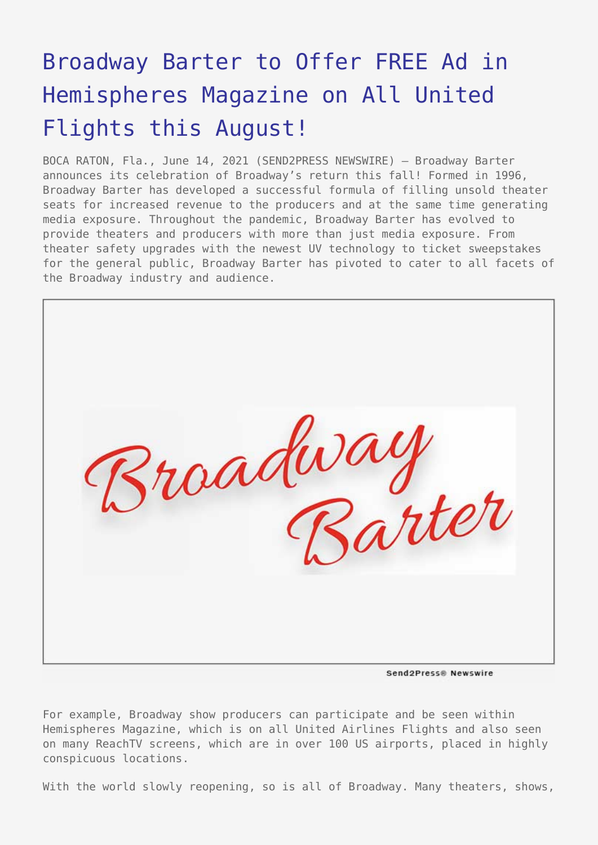## [Broadway Barter to Offer FREE Ad in](https://www.send2press.com/wire/broadway-barter-to-offer-free-ad-in-hemispheres-magazine-on-all-united-flights-this-august/) [Hemispheres Magazine on All United](https://www.send2press.com/wire/broadway-barter-to-offer-free-ad-in-hemispheres-magazine-on-all-united-flights-this-august/) [Flights this August!](https://www.send2press.com/wire/broadway-barter-to-offer-free-ad-in-hemispheres-magazine-on-all-united-flights-this-august/)

BOCA RATON, Fla., June 14, 2021 (SEND2PRESS NEWSWIRE) — Broadway Barter announces its celebration of Broadway's return this fall! Formed in 1996, Broadway Barter has developed a successful formula of filling unsold theater seats for increased revenue to the producers and at the same time generating media exposure. Throughout the pandemic, Broadway Barter has evolved to provide theaters and producers with more than just media exposure. From theater safety upgrades with the newest UV technology to ticket sweepstakes for the general public, Broadway Barter has pivoted to cater to all facets of the Broadway industry and audience.



Send2Press® Newswire

For example, Broadway show producers can participate and be seen within Hemispheres Magazine, which is on all United Airlines Flights and also seen on many ReachTV screens, which are in over 100 US airports, placed in highly conspicuous locations.

With the world slowly reopening, so is all of Broadway. Many theaters, shows,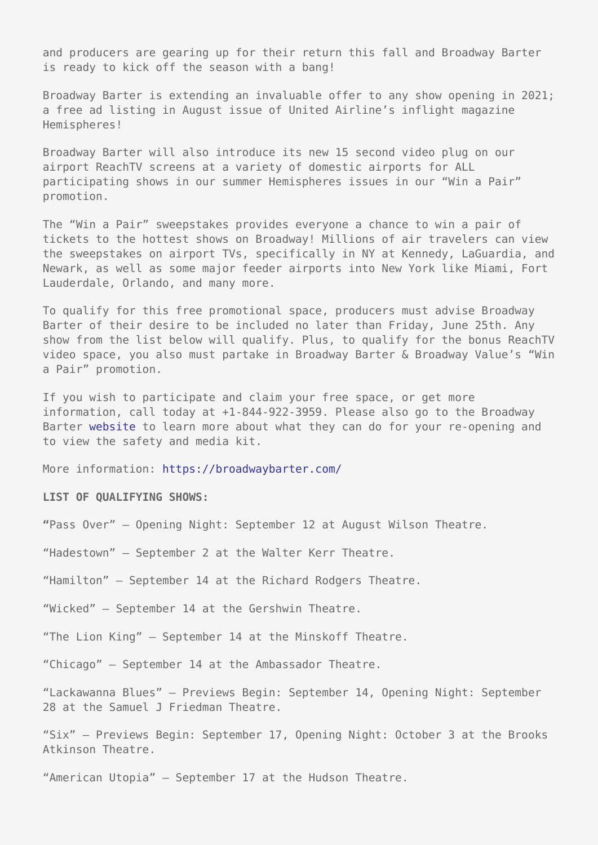and producers are gearing up for their return this fall and Broadway Barter is ready to kick off the season with a bang!

Broadway Barter is extending an invaluable offer to any show opening in 2021; a free ad listing in August issue of United Airline's inflight magazine Hemispheres!

Broadway Barter will also introduce its new 15 second video plug on our airport ReachTV screens at a variety of domestic airports for ALL participating shows in our summer Hemispheres issues in our "Win a Pair" promotion.

The "Win a Pair" sweepstakes provides everyone a chance to win a pair of tickets to the hottest shows on Broadway! Millions of air travelers can view the sweepstakes on airport TVs, specifically in NY at Kennedy, LaGuardia, and Newark, as well as some major feeder airports into New York like Miami, Fort Lauderdale, Orlando, and many more.

To qualify for this free promotional space, producers must advise Broadway Barter of their desire to be included no later than Friday, June 25th. Any show from the list below will qualify. Plus, to qualify for the bonus ReachTV video space, you also must partake in Broadway Barter & Broadway Value's "Win a Pair" promotion.

If you wish to participate and claim your free space, or get more information, call today at +1-844-922-3959. Please also go to the Broadway Barter [website](https://broadwaybarter.com) to learn more about what they can do for your re-opening and to view the safety and media kit.

More information: <https://broadwaybarter.com/>

## **LIST OF QUALIFYING SHOWS:**

**"**Pass Over" – Opening Night: September 12 at August Wilson Theatre.

"Hadestown" – September 2 at the Walter Kerr Theatre.

"Hamilton" – September 14 at the Richard Rodgers Theatre.

"Wicked" – September 14 at the Gershwin Theatre.

"The Lion King" – September 14 at the Minskoff Theatre.

"Chicago" – September 14 at the Ambassador Theatre.

"Lackawanna Blues" – Previews Begin: September 14, Opening Night: September 28 at the Samuel J Friedman Theatre.

"Six" – Previews Begin: September 17, Opening Night: October 3 at the Brooks Atkinson Theatre.

"American Utopia" – September 17 at the Hudson Theatre.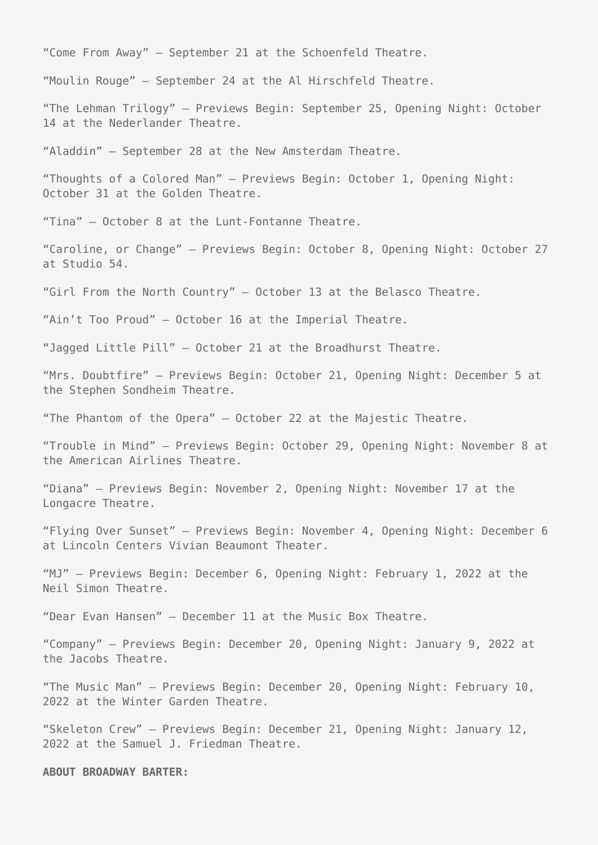"Come From Away" – September 21 at the Schoenfeld Theatre.

"Moulin Rouge" – September 24 at the Al Hirschfeld Theatre.

"The Lehman Trilogy" – Previews Begin: September 25, Opening Night: October 14 at the Nederlander Theatre.

"Aladdin" – September 28 at the New Amsterdam Theatre.

"Thoughts of a Colored Man" – Previews Begin: October 1, Opening Night: October 31 at the Golden Theatre.

"Tina" – October 8 at the Lunt-Fontanne Theatre.

"Caroline, or Change" – Previews Begin: October 8, Opening Night: October 27 at Studio 54.

"Girl From the North Country" – October 13 at the Belasco Theatre.

"Ain't Too Proud" – October 16 at the Imperial Theatre.

"Jagged Little Pill" – October 21 at the Broadhurst Theatre.

"Mrs. Doubtfire" – Previews Begin: October 21, Opening Night: December 5 at the Stephen Sondheim Theatre.

"The Phantom of the Opera" – October 22 at the Majestic Theatre.

"Trouble in Mind" – Previews Begin: October 29, Opening Night: November 8 at the American Airlines Theatre.

"Diana" – Previews Begin: November 2, Opening Night: November 17 at the Longacre Theatre.

"Flying Over Sunset" – Previews Begin: November 4, Opening Night: December 6 at Lincoln Centers Vivian Beaumont Theater.

"MJ" – Previews Begin: December 6, Opening Night: February 1, 2022 at the Neil Simon Theatre.

"Dear Evan Hansen" – December 11 at the Music Box Theatre.

"Company" – Previews Begin: December 20, Opening Night: January 9, 2022 at the Jacobs Theatre.

"The Music Man" – Previews Begin: December 20, Opening Night: February 10, 2022 at the Winter Garden Theatre.

"Skeleton Crew" – Previews Begin: December 21, Opening Night: January 12, 2022 at the Samuel J. Friedman Theatre.

**ABOUT BROADWAY BARTER:**